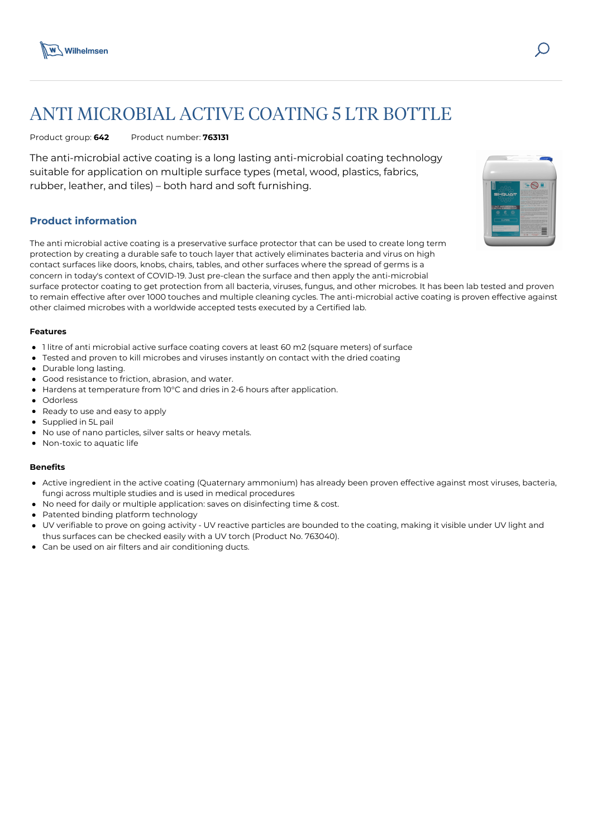

# ANTI MICROBIAL ACTIVE COATING 5 LTR BOTTLE

Product group: **642** Product number: **763131**

The anti-microbial active coating is a long lasting anti-microbial coating technology suitable for application on multiple surface types (metal, wood, plastics, fabrics, rubber, leather, and tiles) – both hard and soft furnishing.

## **Product information**

The anti microbial active coating is a preservative surface protector that can be used to create long term protection by creating a durable safe to touch layer that actively eliminates bacteria and virus on high contact surfaces like doors, knobs, chairs, tables, and other surfaces where the spread of germs is a concern in today's context of COVID-19. Just pre-clean the surface and then apply the anti-microbial

surface protector coating to get protection from all bacteria, viruses, fungus, and other microbes. It has been lab tested and proven to remain effective after over 1000 touches and multiple cleaning cycles. The anti-microbial active coating is proven effective against other claimed microbes with a worldwide accepted tests executed by a Certified lab.

## **Features**

- 1 litre of anti microbial active surface coating covers at least 60 m2 (square meters) of surface
- Tested and proven to kill microbes and viruses instantly on contact with the dried coating
- Durable long lasting.
- Good resistance to friction, abrasion, and water.
- Hardens at temperature from 10°C and dries in 2-6 hours after application.  $\bullet$
- Odorless
- Ready to use and easy to apply
- Supplied in 5L pail
- No use of nano particles, silver salts or heavy metals.
- Non-toxic to aquatic life

## **Benefits**

- Active ingredient in the active coating (Quaternary ammonium) has already been proven effective against most viruses, bacteria, fungi across multiple studies and is used in medical procedures
- No need for daily or multiple application: saves on disinfecting time & cost.
- Patented binding platform technology
- UV verifiable to prove on going activity UV reactive particles are bounded to the coating, making it visible under UV light and thus surfaces can be checked easily with a UV torch (Product No. 763040).
- Can be used on air filters and air conditioning ducts.

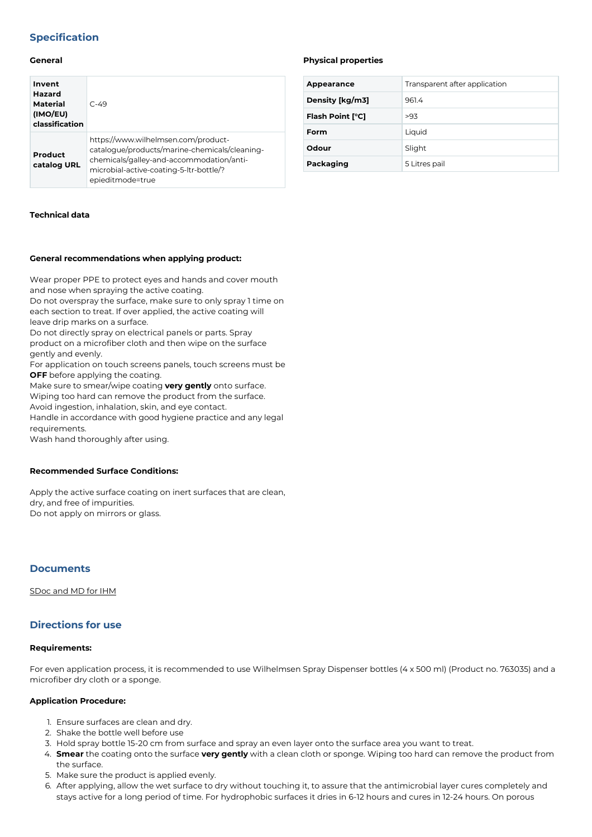## **Specification**

## **General**

| Invent<br>Hazard<br><b>Material</b><br>(IMO/EU)<br>classification | $C - 49$                                                                                                                                                                                        |
|-------------------------------------------------------------------|-------------------------------------------------------------------------------------------------------------------------------------------------------------------------------------------------|
| Product<br>catalog URL                                            | https://www.wilhelmsen.com/product-<br>catalogue/products/marine-chemicals/cleaning-<br>chemicals/galley-and-accommodation/anti-<br>microbial-active-coating-5-ltr-bottle/?<br>epieditmode=true |

## **Technical data**

## **General recommendations when applying product:**

Wear proper PPE to protect eyes and hands and cover mouth and nose when spraying the active coating.

Do not overspray the surface, make sure to only spray 1 time on each section to treat. If over applied, the active coating will leave drip marks on a surface.

Do not directly spray on electrical panels or parts. Spray product on a microfiber cloth and then wipe on the surface gently and evenly.

For application on touch screens panels, touch screens must be **OFF** before applying the coating.

Make sure to smear/wipe coating **very gently** onto surface. Wiping too hard can remove the product from the surface. Avoid ingestion, inhalation, skin, and eye contact.

Handle in accordance with good hygiene practice and any legal requirements.

Wash hand thoroughly after using.

#### **Recommended Surface Conditions:**

Apply the active surface coating on inert surfaces that are clean, dry, and free of impurities. Do not apply on mirrors or glass.

## **Documents**

[SDoc and MD for IHM](https://media.bluestonepim.com/e4deb258-8122-4fdf-9d12-b42f3e0e812d/2f03e317-de81-4f86-ac3b-20d7678f0044/qGCGpduW8APM1YJpyNm1NORDE/LbtvF8gYXtqxp1NRrr79Zk46r.pdf)

## **Directions for use**

## **Requirements:**

For even application process, it is recommended to use Wilhelmsen Spray Dispenser bottles (4 x 500 ml) (Product no. 763035) and a microfiber dry cloth or a sponge.

## **Application Procedure:**

- 1. Ensure surfaces are clean and dry.
- 2. Shake the bottle well before use
- 3. Hold spray bottle 15-20 cm from surface and spray an even layer onto the surface area you want to treat.
- 4. **Smear** the coating onto the surface **very gently** with a clean cloth or sponge. Wiping too hard can remove the product from the surface.
- 5. Make sure the product is applied evenly.
- 6. After applying, allow the wet surface to dry without touching it, to assure that the antimicrobial layer cures completely and stays active for a long period of time. For hydrophobic surfaces it dries in 6-12 hours and cures in 12-24 hours. On porous

#### **Physical properties**

| Appearance              | Transparent after application |
|-------------------------|-------------------------------|
| Density [kg/m3]         | 9614                          |
| <b>Flash Point [°C]</b> | >93                           |
| Form                    | Liquid                        |
| Odour                   | Slight                        |
| Packaging               | 5 Litres pail                 |